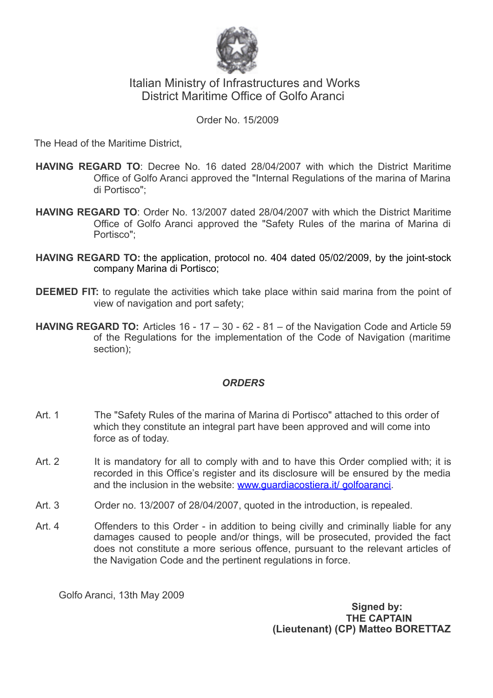

# Italian Ministry of Infrastructures and Works District Maritime Office of Golfo Aranci

#### Order No. 15/2009

The Head of the Maritime District,

- **HAVING REGARD TO**: Decree No. 16 dated 28/04/2007 with which the District Maritime Office of Golfo Aranci approved the "Internal Regulations of the marina of Marina di Portisco";
- **HAVING REGARD TO**: Order No. 13/2007 dated 28/04/2007 with which the District Maritime Office of Golfo Aranci approved the "Safety Rules of the marina of Marina di Portisco";
- **HAVING REGARD TO:** the application, protocol no. 404 dated 05/02/2009, by the joint-stock company Marina di Portisco;
- **DEEMED FIT:** to regulate the activities which take place within said marina from the point of view of navigation and port safety;
- **HAVING REGARD TO:** Articles 16 17 30 62 81 of the Navigation Code and Article 59 of the Regulations for the implementation of the Code of Navigation (maritime section);

# *ORDERS*

- Art. 1 The "Safety Rules of the marina of Marina di Portisco" attached to this order of which they constitute an integral part have been approved and will come into force as of today.
- Art. 2 It is mandatory for all to comply with and to have this Order complied with; it is recorded in this Office's register and its disclosure will be ensured by the media and the inclusion in the website: www.quardiacostiera.it/ golfoaranci.
- Art. 3 Order no. 13/2007 of 28/04/2007, quoted in the introduction, is repealed.
- Art. 4 Offenders to this Order in addition to being civilly and criminally liable for any damages caused to people and/or things, will be prosecuted, provided the fact does not constitute a more serious offence, pursuant to the relevant articles of the Navigation Code and the pertinent regulations in force.

Golfo Aranci, 13th May 2009

 **Signed by: THE CAPTAIN (Lieutenant) (CP) Matteo BORETTAZ**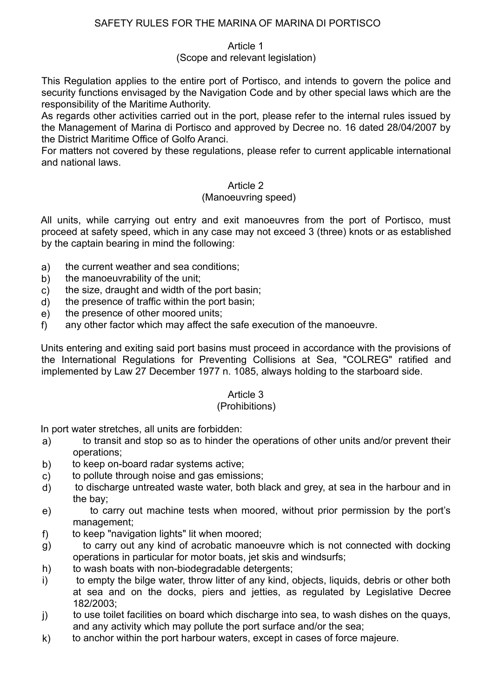# SAFETY RULES FOR THE MARINA OF MARINA DI PORTISCO

# Article 1

# (Scope and relevant legislation)

This Regulation applies to the entire port of Portisco, and intends to govern the police and security functions envisaged by the Navigation Code and by other special laws which are the responsibility of the Maritime Authority.

As regards other activities carried out in the port, please refer to the internal rules issued by the Management of Marina di Portisco and approved by Decree no. 16 dated 28/04/2007 by the District Maritime Office of Golfo Aranci.

For matters not covered by these regulations, please refer to current applicable international and national laws.

# Article 2

# (Manoeuvring speed)

 All units, while carrying out entry and exit manoeuvres from the port of Portisco, must proceed at safety speed, which in any case may not exceed 3 (three) knots or as established by the captain bearing in mind the following:

- a) the current weather and sea conditions;
- b) the manoeuvrability of the unit:
- c) the size, draught and width of the port basin;
- d) the presence of traffic within the port basin;
- e) the presence of other moored units;
- f) any other factor which may affect the safe execution of the manoeuvre.

 Units entering and exiting said port basins must proceed in accordance with the provisions of the International Regulations for Preventing Collisions at Sea, "COLREG" ratified and implemented by Law 27 December 1977 n. 1085, always holding to the starboard side.

# Article 3

## (Prohibitions)

In port water stretches, all units are forbidden:

- a) to transit and stop so as to hinder the operations of other units and/or prevent their operations;
- b) to keep on-board radar systems active;
- c) to pollute through noise and gas emissions;
- d) to discharge untreated waste water, both black and grey, at sea in the harbour and in the bay;
- e) to carry out machine tests when moored, without prior permission by the port's management;
- f) to keep "navigation lights" lit when moored;
- g) to carry out any kind of acrobatic manoeuvre which is not connected with docking operations in particular for motor boats, jet skis and windsurfs;
- h) to wash boats with non-biodegradable detergents;
- i) to empty the bilge water, throw litter of any kind, objects, liquids, debris or other both at sea and on the docks, piers and jetties, as regulated by Legislative Decree 182/2003;
- j) to use toilet facilities on board which discharge into sea, to wash dishes on the quays, and any activity which may pollute the port surface and/or the sea;
- k) to anchor within the port harbour waters, except in cases of force majeure.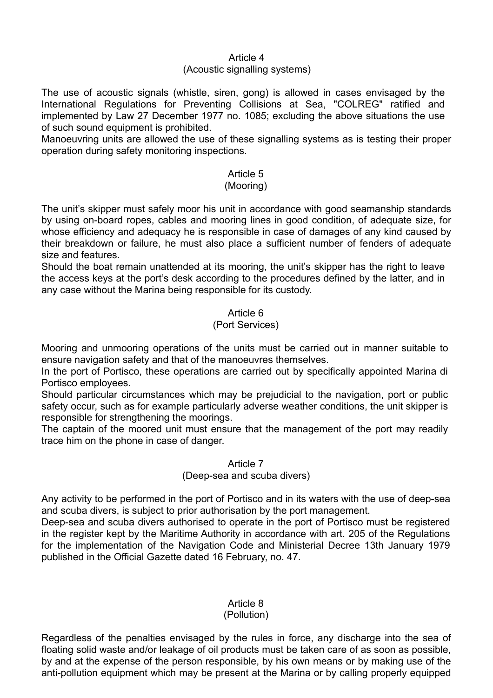#### Article 4

#### (Acoustic signalling systems)

The use of acoustic signals (whistle, siren, gong) is allowed in cases envisaged by the International Regulations for Preventing Collisions at Sea, "COLREG" ratified and implemented by Law 27 December 1977 no. 1085; excluding the above situations the use of such sound equipment is prohibited.

Manoeuvring units are allowed the use of these signalling systems as is testing their proper operation during safety monitoring inspections.

## Article 5

#### (Mooring)

The unit's skipper must safely moor his unit in accordance with good seamanship standards by using on-board ropes, cables and mooring lines in good condition, of adequate size, for whose efficiency and adequacy he is responsible in case of damages of any kind caused by their breakdown or failure, he must also place a sufficient number of fenders of adequate size and features.

Should the boat remain unattended at its mooring, the unit's skipper has the right to leave the access keys at the port's desk according to the procedures defined by the latter, and in any case without the Marina being responsible for its custody.

#### Article 6

#### (Port Services)

Mooring and unmooring operations of the units must be carried out in manner suitable to ensure navigation safety and that of the manoeuvres themselves.

In the port of Portisco, these operations are carried out by specifically appointed Marina di Portisco employees.

Should particular circumstances which may be prejudicial to the navigation, port or public safety occur, such as for example particularly adverse weather conditions, the unit skipper is responsible for strengthening the moorings.

The captain of the moored unit must ensure that the management of the port may readily trace him on the phone in case of danger.

# Article 7

# (Deep-sea and scuba divers)

Any activity to be performed in the port of Portisco and in its waters with the use of deep-sea and scuba divers, is subject to prior authorisation by the port management.

Deep-sea and scuba divers authorised to operate in the port of Portisco must be registered in the register kept by the Maritime Authority in accordance with art. 205 of the Regulations for the implementation of the Navigation Code and Ministerial Decree 13th January 1979 published in the Official Gazette dated 16 February, no. 47.

# Article 8

## (Pollution)

Regardless of the penalties envisaged by the rules in force, any discharge into the sea of floating solid waste and/or leakage of oil products must be taken care of as soon as possible, by and at the expense of the person responsible, by his own means or by making use of the anti-pollution equipment which may be present at the Marina or by calling properly equipped